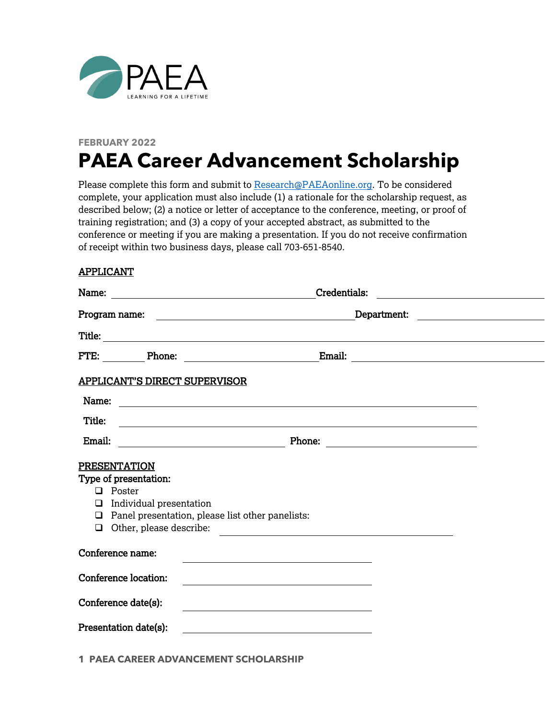

## **FEBRUARY 2022 PAEA Career Advancement Scholarship**

Please complete this form and submit to [Research@PAEAonline.org.](mailto:research@PAEAonline.org) To be considered complete, your application must also include (1) a rationale for the scholarship request, as described below; (2) a notice or letter of acceptance to the conference, meeting, or proof of training registration; and (3) a copy of your accepted abstract, as submitted to the conference or meeting if you are making a presentation. If you do not receive confirmation of receipt within two business days, please call 703-651-8540.

## APPLICANT

|        |                                                                                                              | Credentials:<br><u> 1980 - Andrea Andrew Maria (h. 1980).</u>                                                                                                                                                                                                                                        |  |
|--------|--------------------------------------------------------------------------------------------------------------|------------------------------------------------------------------------------------------------------------------------------------------------------------------------------------------------------------------------------------------------------------------------------------------------------|--|
|        |                                                                                                              | Department:                                                                                                                                                                                                                                                                                          |  |
|        |                                                                                                              |                                                                                                                                                                                                                                                                                                      |  |
|        | FTE: Phone:                                                                                                  | Email:<br><u>and the community of the community of the community of the community of the community of the community of the community of the community of the community of the community of the community of the community of the community</u><br><u> 1989 - John Stein, Amerikaansk politiker (</u> |  |
|        | <b>APPLICANT'S DIRECT SUPERVISOR</b>                                                                         |                                                                                                                                                                                                                                                                                                      |  |
| Name:  |                                                                                                              |                                                                                                                                                                                                                                                                                                      |  |
| Title: |                                                                                                              | <u> 1989 - Johann Stoff, deutscher Stoff, der Stoff, der Stoff, der Stoff, der Stoff, der Stoff, der Stoff, der S</u>                                                                                                                                                                                |  |
| Email: |                                                                                                              |                                                                                                                                                                                                                                                                                                      |  |
| ❏      | <b>PRESENTATION</b><br>Type of presentation:<br>$\Box$ Poster<br>Individual presentation<br>Conference name: | $\Box$ Panel presentation, please list other panelists:<br>Other, please describe:<br><u> 1989 - Johann Stein, marwolaethau a bhann an t-Amhair an t-Amhair an t-Amhair an t-Amhair an t-Amhair an t-A</u>                                                                                           |  |
|        | Conference location:                                                                                         |                                                                                                                                                                                                                                                                                                      |  |
|        | Conference date(s):                                                                                          |                                                                                                                                                                                                                                                                                                      |  |
|        | Presentation date(s):                                                                                        |                                                                                                                                                                                                                                                                                                      |  |

**1 PAEA CAREER ADVANCEMENT SCHOLARSHIP**